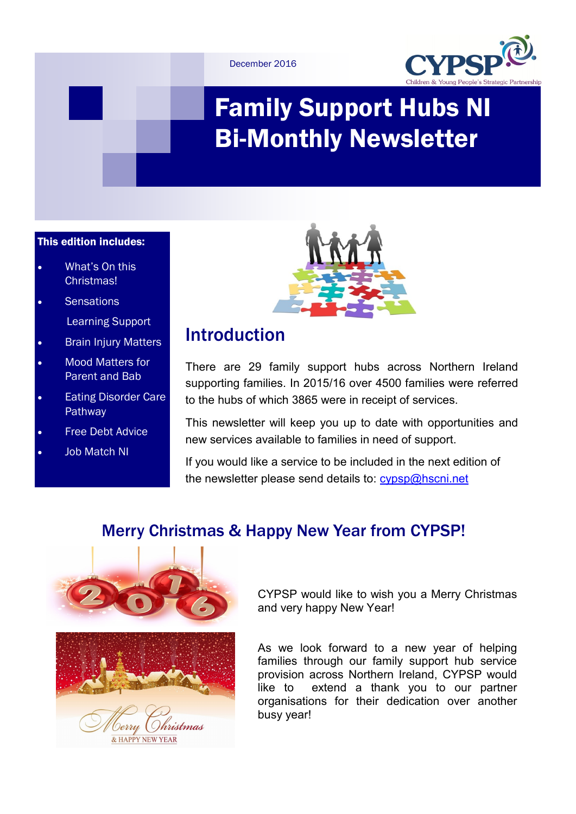



# Family Support Hubs NI Bi-Monthly Newsletter

### This edition includes:

- What's On this Christmas!
- **Sensations**

Learning Support

- Brain Injury Matters
- Mood Matters for Parent and Bab
- Eating Disorder Care Pathway
- Free Debt Advice
- Job Match NI



# Introduction

There are 29 family support hubs across Northern Ireland supporting families. In 2015/16 over 4500 families were referred to the hubs of which 3865 were in receipt of services.

This newsletter will keep you up to date with opportunities and new services available to families in need of support.

If you would like a service to be included in the next edition of the newsletter please send details to: [cypsp@hscni.net](mailto:cypsp@hscni.net)

# Merry Christmas & Happy New Year from CYPSP!



Ohristmas & HAPPY NEW YEAR

CYPSP would like to wish you a Merry Christmas and very happy New Year!

As we look forward to a new year of helping families through our family support hub service provision across Northern Ireland, CYPSP would like to extend a thank you to our partner organisations for their dedication over another busy year!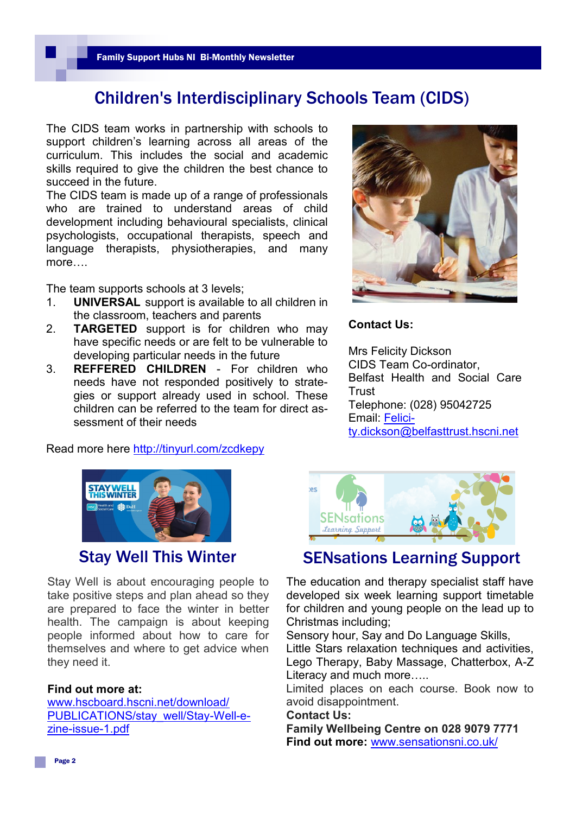# Children's Interdisciplinary Schools Team (CIDS)

The CIDS team works in partnership with schools to support children's learning across all areas of the curriculum. This includes the social and academic skills required to give the children the best chance to succeed in the future.

The CIDS team is made up of a range of professionals who are trained to understand areas of child development including behavioural specialists, clinical psychologists, occupational therapists, speech and language therapists, physiotherapies, and many more….

The team supports schools at 3 levels;

- 1. **UNIVERSAL** support is available to all children in the classroom, teachers and parents
- 2. **TARGETED** support is for children who may have specific needs or are felt to be vulnerable to developing particular needs in the future
- 3. **REFFERED CHILDREN**  For children who needs have not responded positively to strategies or support already used in school. These children can be referred to the team for direct assessment of their needs

Read more here <http://tinyurl.com/zcdkepy>



#### **Contact Us:**

Mrs Felicity Dickson CIDS Team Co-ordinator, Belfast Health and Social Care **Trust** Telephone: (028) 95042725 Email: [Felici](mailto:Felicity.dickson@belfasttrust.hscni.net)[ty.dickson@belfasttrust.hscni.net](mailto:Felicity.dickson@belfasttrust.hscni.net) 



Stay Well is about encouraging people to take positive steps and plan ahead so they are prepared to face the winter in better health. The campaign is about keeping people informed about how to care for themselves and where to get advice when they need it.

#### **Find out more at:**

[www.hscboard.hscni.net/download/](http://www.hscboard.hscni.net/download/PUBLICATIONS/stay_well/Stay-Well-e-zine-issue-1.pdf) [PUBLICATIONS/stay\\_well/Stay](http://www.hscboard.hscni.net/download/PUBLICATIONS/stay_well/Stay-Well-e-zine-issue-1.pdf)-Well-ezine-[issue](http://www.hscboard.hscni.net/download/PUBLICATIONS/stay_well/Stay-Well-e-zine-issue-1.pdf)-1.pdf



# **Stay Well This Winter SENsations Learning Support**

The education and therapy specialist staff have developed six week learning support timetable for children and young people on the lead up to Christmas including;

Sensory hour, Say and Do Language Skills, Little Stars relaxation techniques and activities, Lego Therapy, Baby Massage, Chatterbox, A-Z

Literacy and much more…..

Limited places on each course. Book now to avoid disappointment.

#### **Contact Us:**

**Family Wellbeing Centre on 028 9079 7771 Find out more:** [www.sensationsni.co.uk/](http://www.sensationsni.co.uk/)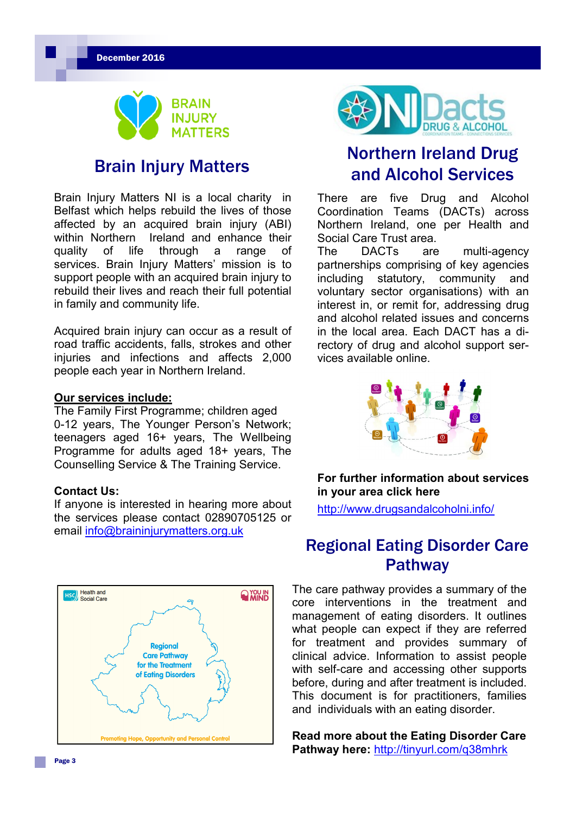December 2016



Brain Injury Matters NI is a local charity in Belfast which helps rebuild the lives of those affected by an acquired brain injury (ABI) within Northern Ireland and enhance their quality of life through a range of services. Brain Injury Matters' mission is to support people with an acquired brain injury to rebuild their lives and reach their full potential in family and community life.

Acquired brain injury can occur as a result of road traffic accidents, falls, strokes and other iniuries and infections and affects 2,000 people each year in Northern Ireland.

#### **Our services include:**

The Family First Programme; children aged 0-12 years, The Younger Person's Network; teenagers aged 16+ years, The Wellbeing Programme for adults aged 18+ years, The Counselling Service & The Training Service.

#### **Contact Us:**

If anyone is interested in hearing more about the services please contact 02890705125 or email [info@braininjurymatters.org.uk](mailto:info@braininjurymatters.org.uk)





# Northern Ireland Drug **Brain Injury Matters** and Alcohol Services

There are five Drug and Alcohol Coordination Teams (DACTs) across Northern Ireland, one per Health and Social Care Trust area.

The DACTs are multi-agency partnerships comprising of key agencies including statutory, community and voluntary sector organisations) with an interest in, or remit for, addressing drug and alcohol related issues and concerns in the local area. Each DACT has a directory of drug and alcohol support services available online.



### **For further information about services in your area click here**

<http://www.drugsandalcoholni.info/>

# Regional Eating Disorder Care **Pathway**

The care pathway provides a summary of the core interventions in the treatment and management of eating disorders. It outlines what people can expect if they are referred for treatment and provides summary of clinical advice. Information to assist people with self-care and accessing other supports before, during and after treatment is included. This document is for practitioners, families and individuals with an eating disorder.

**Read more about the Eating Disorder Care Pathway here:** <http://tinyurl.com/q38mhrk>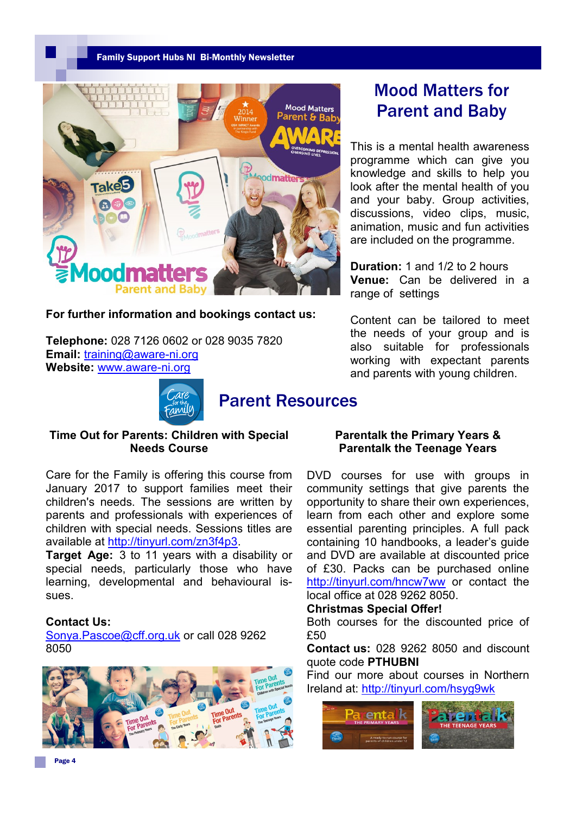#### Family Support Hubs NI Bi-Monthly Newsletter



#### **For further information and bookings contact us:**

**Telephone:** 028 7126 0602 or 028 9035 7820 **Email:** [training@aware](mailto:training@aware-ni.org)-ni.org **Website:** [www.aware](http://www.aware-ni.org)-ni.org



## Parent Resources

# Mood Matters for Parent and Baby

This is a mental health awareness programme which can give you knowledge and skills to help you look after the mental health of you and your baby. Group activities, discussions, video clips, music, animation, music and fun activities are included on the programme.

**Duration:** 1 and 1/2 to 2 hours **Venue:** Can be delivered in a range of settings

Content can be tailored to meet the needs of your group and is also suitable for professionals working with expectant parents and parents with young children.

#### **Time Out for Parents: Children with Special Needs Course**

Care for the Family is offering this course from January 2017 to support families meet their children's needs. The sessions are written by parents and professionals with experiences of children with special needs. Sessions titles are available at [http://tinyurl.com/zn3f4p3.](http://tinyurl.com/zn3f4p3)

**Target Age:** 3 to 11 years with a disability or special needs, particularly those who have learning, developmental and behavioural issues.

#### **Contact Us:**

[Sonya.Pascoe@cff.org.uk](mailto:Sonya.Pascoe@cff.org.uk) or call 028 9262 8050



#### **Parentalk the Primary Years & Parentalk the Teenage Years**

DVD courses for use with groups in community settings that give parents the opportunity to share their own experiences, learn from each other and explore some essential parenting principles. A full pack containing 10 handbooks, a leader's guide and DVD are available at discounted price of £30. Packs can be purchased online <http://tinyurl.com/hncw7ww> or contact the local office at 028 9262 8050.

#### **Christmas Special Offer!**

Both courses for the discounted price of £50

**Contact us:** 028 9262 8050 and discount quote code **PTHUBNI**

Find our more about courses in Northern Ireland at:<http://tinyurl.com/hsyg9wk>